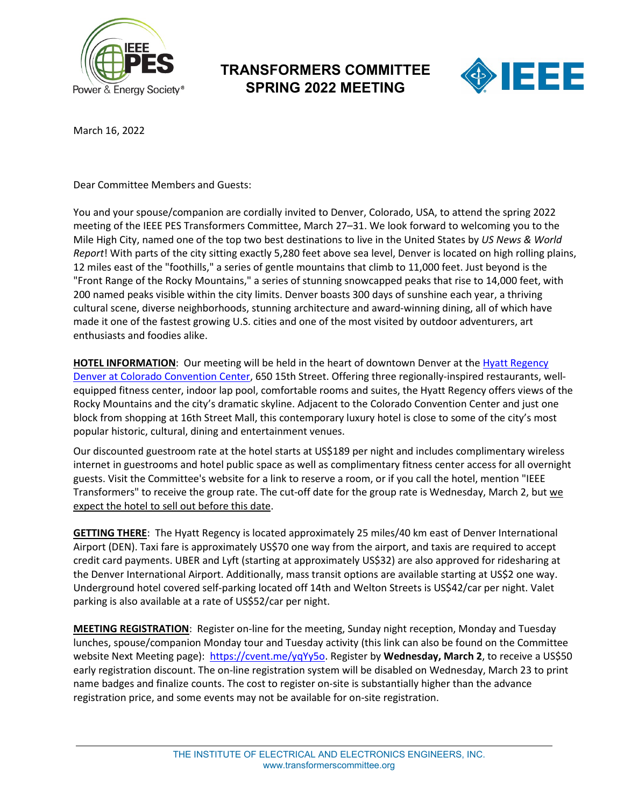

## **TRANSFORMERS COMMITTEE SPRING 2022 MEETING**



March 16, 2022

Dear Committee Members and Guests:

You and your spouse/companion are cordially invited to Denver, Colorado, USA, to attend the spring 2022 meeting of the IEEE PES Transformers Committee, March 27–31. We look forward to welcoming you to the Mile High City, named one of the top two best destinations to live in the United States by *US News & World Report*! With parts of the city sitting exactly 5,280 feet above sea level, Denver is located on high rolling plains, 12 miles east of the "foothills," a series of gentle mountains that climb to 11,000 feet. Just beyond is the "Front Range of the Rocky Mountains," a series of stunning snowcapped peaks that rise to 14,000 feet, with 200 named peaks visible within the city limits. Denver boasts 300 days of sunshine each year, a thriving cultural scene, diverse neighborhoods, stunning architecture and award-winning dining, all of which have made it one of the fastest growing U.S. cities and one of the most visited by outdoor adventurers, art enthusiasts and foodies alike.

HOTEL INFORMATION: Our meeting will be held in the heart of downtown Denver at the [Hyatt Regency](https://www.hyatt.com/en-US/hotel/colorado/hyatt-regency-denver-at-colorado-convention-center/dencc) [Denver at Colorado Convention Center,](https://www.hyatt.com/en-US/hotel/colorado/hyatt-regency-denver-at-colorado-convention-center/dencc) 650 15th Street. Offering three regionally-inspired restaurants, wellequipped fitness center, indoor lap pool, comfortable rooms and suites, the Hyatt Regency offers views of the Rocky Mountains and the city's dramatic skyline. Adjacent to the Colorado Convention Center and just one block from shopping at 16th Street Mall, this contemporary luxury hotel is close to some of the city's most popular historic, cultural, dining and entertainment venues.

Our discounted guestroom rate at the hotel starts at US\$189 per night and includes complimentary wireless internet in guestrooms and hotel public space as well as complimentary fitness center access for all overnight guests. Visit the Committee's website for a link to reserve a room, or if you call the hotel, mention "IEEE Transformers" to receive the group rate. The cut-off date for the group rate is Wednesday, March 2, but we expect the hotel to sell out before this date.

**GETTING THERE**: The Hyatt Regency is located approximately 25 miles/40 km east of Denver International Airport (DEN). Taxi fare is approximately US\$70 one way from the airport, and taxis are required to accept credit card payments. UBER and Lyft (starting at approximately US\$32) are also approved for ridesharing at the Denver International Airport. Additionally, mass transit options are available starting at US\$2 one way. Underground hotel covered self-parking located off 14th and Welton Streets is US\$42/car per night. Valet parking is also available at a rate of US\$52/car per night.

**MEETING REGISTRATION**: Register on-line for the meeting, Sunday night reception, Monday and Tuesday lunches, spouse/companion Monday tour and Tuesday activity (this link can also be found on the Committee website Next Meeting page): [https://cvent.me/yqYy5o.](https://urldefense.com/v3/__https:/cvent.me/yqYy5o__;!!HmgRb-s!odRnRna1nf2vz8YHZ4DQfdNK-whJeWxqkqjwXvTqyFHXKmoEP9y5tRWFVkhWY81hQA$) Register by **Wednesday, March 2**, to receive a US\$50 early registration discount. The on-line registration system will be disabled on Wednesday, March 23 to print name badges and finalize counts. The cost to register on-site is substantially higher than the advance registration price, and some events may not be available for on-site registration.